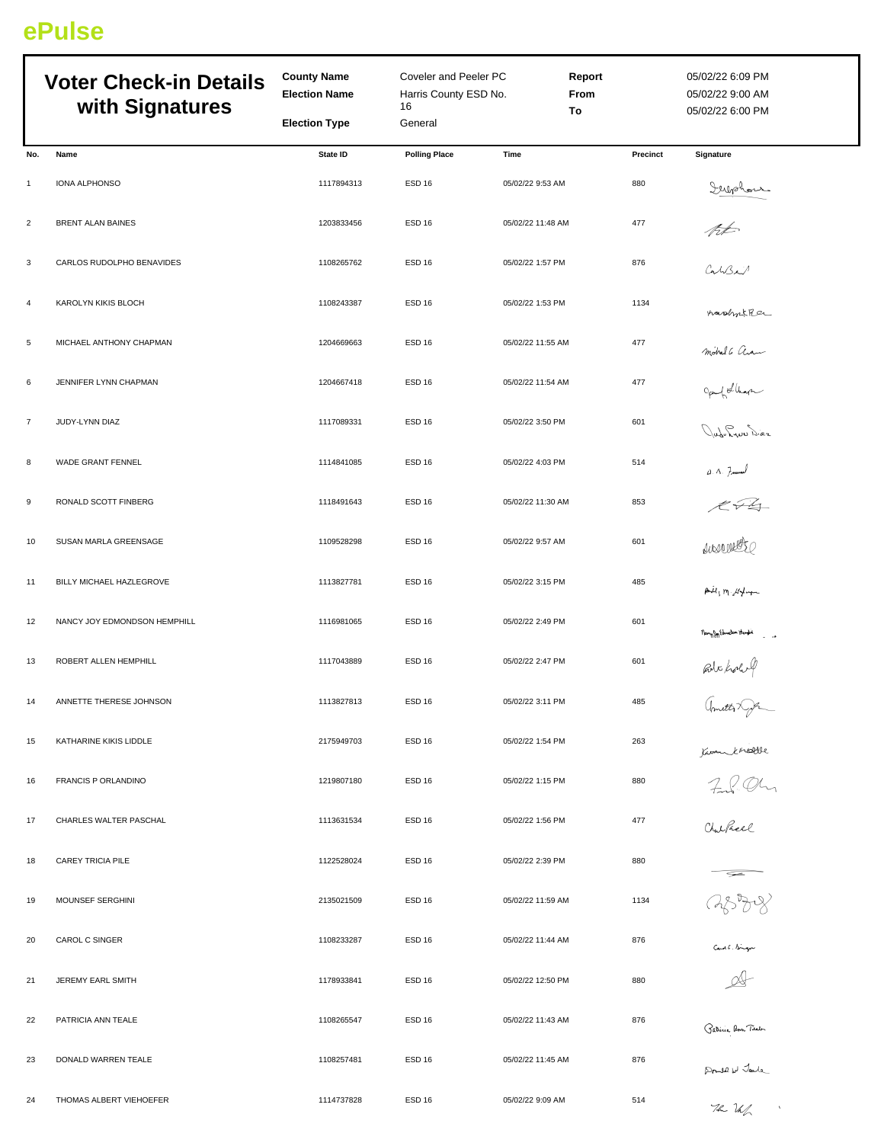## **ePulse**

|                | <b>Voter Check-in Details</b><br>with Signatures | <b>County Name</b><br><b>Election Name</b> | Coveler and Peeler PC<br>Harris County ESD No.<br>16 |                   | Report<br>From<br>To |          | 05/02/22 6:09 PM<br>05/02/22 9:00 AM<br>05/02/22 6:00 PM |  |
|----------------|--------------------------------------------------|--------------------------------------------|------------------------------------------------------|-------------------|----------------------|----------|----------------------------------------------------------|--|
|                |                                                  | <b>Election Type</b>                       | General                                              |                   |                      |          |                                                          |  |
| No.            | Name                                             | State ID                                   | <b>Polling Place</b>                                 | Time              |                      | Precinct | Signature                                                |  |
| $\mathbf{1}$   | IONA ALPHONSO                                    | 1117894313                                 | ESD <sub>16</sub>                                    | 05/02/22 9:53 AM  |                      | 880      |                                                          |  |
| $\overline{c}$ | <b>BRENT ALAN BAINES</b>                         | 1203833456                                 | <b>ESD 16</b>                                        | 05/02/22 11:48 AM |                      | 477      | Supplan                                                  |  |
| 3              | CARLOS RUDOLPHO BENAVIDES                        | 1108265762                                 | <b>ESD 16</b>                                        | 05/02/22 1:57 PM  |                      | 876      | CabBa                                                    |  |
| $\overline{a}$ | KAROLYN KIKIS BLOCH                              | 1108243387                                 | <b>ESD 16</b>                                        | 05/02/22 1:53 PM  |                      | 1134     | nashikker                                                |  |
| 5              | MICHAEL ANTHONY CHAPMAN                          | 1204669663                                 | <b>ESD 16</b>                                        | 05/02/22 11:55 AM |                      | 477      | motral 6 aram                                            |  |
| 6              | JENNIFER LYNN CHAPMAN                            | 1204667418                                 | ESD <sub>16</sub>                                    | 05/02/22 11:54 AM |                      | 477      | gent Librar                                              |  |
| $\overline{7}$ | JUDY-LYNN DIAZ                                   | 1117089331                                 | ESD <sub>16</sub>                                    | 05/02/22 3:50 PM  |                      | 601      | Jub-Lyon Diez                                            |  |
| 8              | WADE GRANT FENNEL                                | 1114841085                                 | ESD <sub>16</sub>                                    | 05/02/22 4:03 PM  |                      | 514      |                                                          |  |
| 9              | RONALD SCOTT FINBERG                             | 1118491643                                 | <b>ESD 16</b>                                        | 05/02/22 11:30 AM |                      | 853      |                                                          |  |
| 10             | SUSAN MARLA GREENSAGE                            | 1109528298                                 | ESD <sub>16</sub>                                    | 05/02/22 9:57 AM  |                      | 601      |                                                          |  |
| 11             | BILLY MICHAEL HAZLEGROVE                         | 1113827781                                 | ESD <sub>16</sub>                                    | 05/02/22 3:15 PM  |                      | 485      | $A\dot{u}_1$ m $M +$                                     |  |
| 12             | NANCY JOY EDMONDSON HEMPHILL                     | 1116981065                                 | ESD <sub>16</sub>                                    | 05/02/22 2:49 PM  |                      | 601      | nony for Edmonton Hendri<br>- -                          |  |
| 13             | ROBERT ALLEN HEMPHILL                            | 1117043889                                 | ESD <sub>16</sub>                                    | 05/02/22 2:47 PM  |                      | 601      | But hour                                                 |  |
| 14             | ANNETTE THERESE JOHNSON                          | 1113827813                                 | <b>ESD 16</b>                                        | 05/02/22 3:11 PM  |                      | 485      | amitte of                                                |  |
| 15             | KATHARINE KIKIS LIDDLE                           | 2175949703                                 | <b>ESD 16</b>                                        | 05/02/22 1:54 PM  |                      | 263      |                                                          |  |
| 16             | <b>FRANCIS P ORLANDINO</b>                       | 1219807180                                 | ESD <sub>16</sub>                                    | 05/02/22 1:15 PM  |                      | 880      | Komerkenberge<br>Find Ohn<br>Outhell                     |  |
| 17             | CHARLES WALTER PASCHAL                           | 1113631534                                 | ESD <sub>16</sub>                                    | 05/02/22 1:56 PM  |                      | 477      |                                                          |  |
| 18             | CAREY TRICIA PILE                                | 1122528024                                 | <b>ESD 16</b>                                        | 05/02/22 2:39 PM  |                      | 880      |                                                          |  |
| 19             | MOUNSEF SERGHINI                                 | 2135021509                                 | <b>ESD 16</b>                                        | 05/02/22 11:59 AM |                      | 1134     | 8388                                                     |  |
| 20             | CAROL C SINGER                                   | 1108233287                                 | <b>ESD 16</b>                                        | 05/02/22 11:44 AM |                      | 876      | Cant. Sign                                               |  |
| 21             | JEREMY EARL SMITH                                | 1178933841                                 | <b>ESD 16</b>                                        | 05/02/22 12:50 PM |                      | 880      | $\mathcal{A}$                                            |  |
| 22             | PATRICIA ANN TEALE                               | 1108265547                                 | ESD <sub>16</sub>                                    | 05/02/22 11:43 AM |                      | 876      | Patricia Ann Tieden<br>.                                 |  |
| 23             | DONALD WARREN TEALE                              | 1108257481                                 | <b>ESD 16</b>                                        | 05/02/22 11:45 AM |                      | 876      | Prove w Jack                                             |  |
| 24             | THOMAS ALBERT VIEHOEFER                          | 1114737828                                 | ESD <sub>16</sub>                                    | 05/02/22 9:09 AM  |                      | 514      | 72.11<br>$\Lambda$                                       |  |